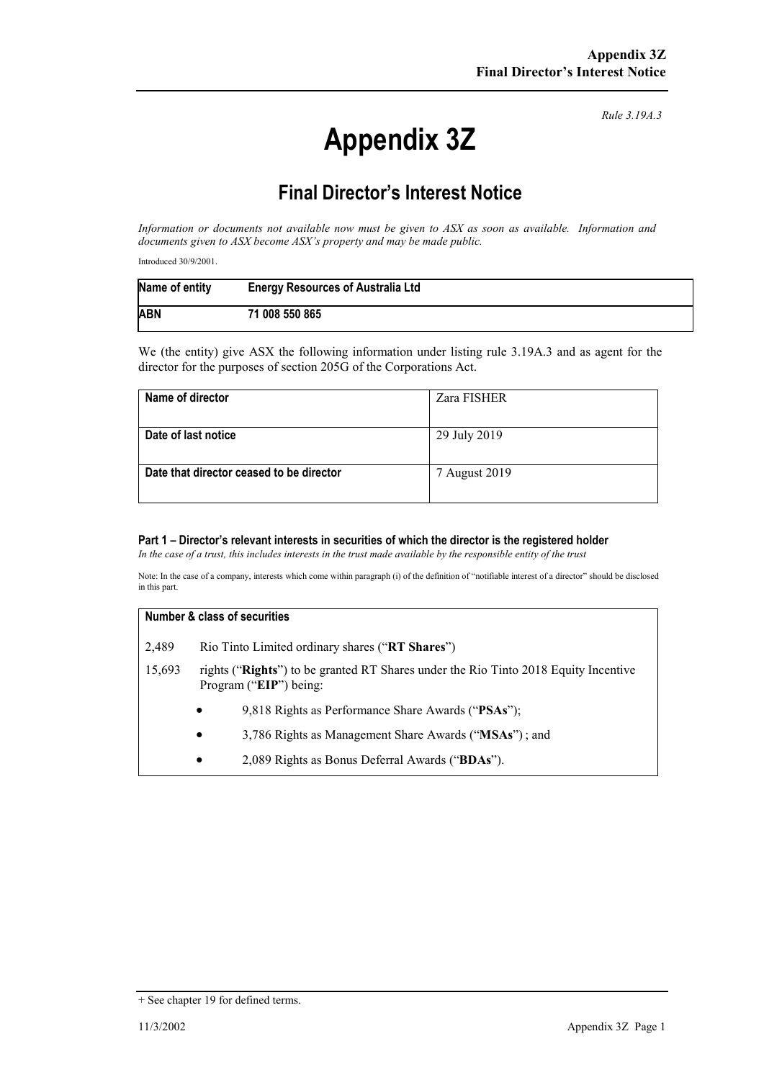# **Appendix 3Z**

*Rule 3.19A.3*

## **Final Director's Interest Notice**

*Information or documents not available now must be given to ASX as soon as available. Information and documents given to ASX become ASX's property and may be made public.*

Introduced 30/9/2001.

| Name of entity | <b>Energy Resources of Australia Ltd</b> |
|----------------|------------------------------------------|
| <b>ABN</b>     | 71 008 550 865                           |

We (the entity) give ASX the following information under listing rule 3.19A.3 and as agent for the director for the purposes of section 205G of the Corporations Act.

| Name of director                         | Zara FISHER   |
|------------------------------------------|---------------|
| Date of last notice                      | 29 July 2019  |
| Date that director ceased to be director | 7 August 2019 |

### **Part 1 – Director's relevant interests in securities of which the director is the registered holder**

*In the case of a trust, this includes interests in the trust made available by the responsible entity of the trust*

Note: In the case of a company, interests which come within paragraph (i) of the definition of "notifiable interest of a director" should be disclosed in this part.

## **Number & class of securities** 2,489 Rio Tinto Limited ordinary shares ("**RT Shares**") 15,693 rights ("**Rights**") to be granted RT Shares under the Rio Tinto 2018 Equity Incentive Program ("**EIP**") being: • 9,818 Rights as Performance Share Awards ("**PSAs**"); • 3,786 Rights as Management Share Awards ("**MSAs**") ; and • 2,089 Rights as Bonus Deferral Awards ("**BDAs**").

<sup>+</sup> See chapter 19 for defined terms.